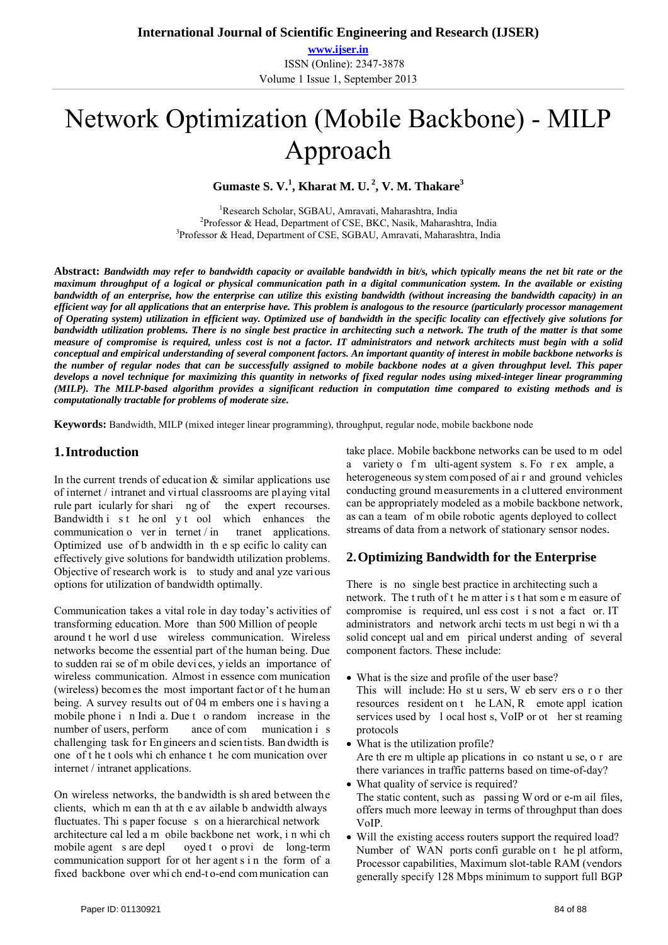**www.ijser.in** ISSN (Online): 2347-3878 Volume 1 Issue 1, September 2013

# Network Optimization (Mobile Backbone) - MILP Approach

**Gumaste S. V.<sup>1</sup> , Kharat M. U. 2, V. M. Thakare3**

<sup>1</sup>Research Scholar, SGBAU, Amravati, Maharashtra, India<br><sup>2</sup>Professor & Head, Department of CSE, BKC, Nasik, Maharash <sup>2</sup>Professor & Head, Department of CSE, BKC, Nasik, Maharashtra, India <sup>3</sup>Professor & Head, Department of CSE, SGBAU, Amravati, Maharashtra, India

**Abstract:** *Bandwidth may refer to bandwidth capacity or available bandwidth in bit/s, which typically means the net bit rate or the maximum throughput of a logical or physical communication path in a digital communication system. In the available or existing bandwidth of an enterprise, how the enterprise can utilize this existing bandwidth (without increasing the bandwidth capacity) in an efficient way for all applications that an enterprise have. This problem is analogous to the resource (particularly processor management of Operating system) utilization in efficient way. Optimized use of bandwidth in the specific locality can effectively give solutions for bandwidth utilization problems. There is no single best practice in architecting such a network. The truth of the matter is that some measure of compromise is required, unless cost is not a factor. IT administrators and network architects must begin with a solid conceptual and empirical understanding of several component factors. An important quantity of interest in mobile backbone networks is the number of regular nodes that can be successfully assigned to mobile backbone nodes at a given throughput level. This paper develops a novel technique for maximizing this quantity in networks of fixed regular nodes using mixed-integer linear programming (MILP). The MILP-based algorithm provides a significant reduction in computation time compared to existing methods and is computationally tractable for problems of moderate size.* 

**Keywords:** Bandwidth, MILP (mixed integer linear programming), throughput, regular node, mobile backbone node

### **1.Introduction**

In the current trends of education  $\&$  similar applications use of internet / intranet and vi rtual classrooms are pl aying vital rule part icularly for shari ng of the expert recourses. Bandwidth i s t he onl y t ool which enhances the communication o ver in ternet  $/m$  tranet applications. Optimized use of b andwidth in th e sp ecific lo cality can effectively give solutions for bandwidth utilization problems. Objective of research work is to study and anal yze various options for utilization of bandwidth optimally.

Communication takes a vital role in day today's activities of transforming education. More than 500 Million of people around t he worl d use wireless communication. Wireless networks become the essential part of the human being. Due to sudden rai se of m obile devi ces, y ields an importance of wireless communication. Almost in essence com munication (wireless) becomes the most important factor of t he human being. A survey results out of 04 m embers one i s having a mobile phone i n Indi a. Due t o random increase in the number of users, perform ance of com munication i s challenging task fo r En gineers an d scien tists. Ban dwidth is one of t he t ools whi ch enhance t he com munication over internet / intranet applications.

On wireless networks, the bandwidth is sh ared between the clients, which m ean th at th e av ailable b andwidth always fluctuates. Thi s paper focuse s on a hierarchical network architecture cal led a m obile backbone net work, i n whi ch mobile agent s are depl oyed t o provi de long-term communication support for ot her agent s i n the form of a fixed backbone over whi ch end-t o-end com munication can

take place. Mobile backbone networks can be used to m odel a variety o f m ulti-agent system s. Fo r ex ample, a heterogeneous system composed of ai r and ground vehicles conducting ground measurements in a cluttered environment can be appropriately modeled as a mobile backbone network, as can a team of m obile robotic agents deployed to collect streams of data from a network of stationary sensor nodes.

## **2.Optimizing Bandwidth for the Enterprise**

There is no single best practice in architecting such a network. The t ruth of t he m atter i s t hat som e m easure of compromise is required, unl ess cost i s not a fact or. IT administrators and network archi tects m ust begi n wi th a solid concept ual and em pirical underst anding of several component factors. These include:

- What is the size and profile of the user base? This will include: Ho st u sers, W eb serv ers o r o ther resources resident on t he LAN, R emote appl ication services used by l ocal host s, VoIP or ot her st reaming protocols
- What is the utilization profile? Are th ere m ultiple ap plications in co nstant u se, o r are there variances in traffic patterns based on time-of-day?
- What quality of service is required? The static content, such as passi ng W ord or e-m ail files, offers much more leeway in terms of throughput than does VoIP.
- Will the existing access routers support the required load? Number of WAN ports confi gurable on t he pl atform, Processor capabilities, Maximum slot-table RAM (vendors generally specify 128 Mbps minimum to support full BGP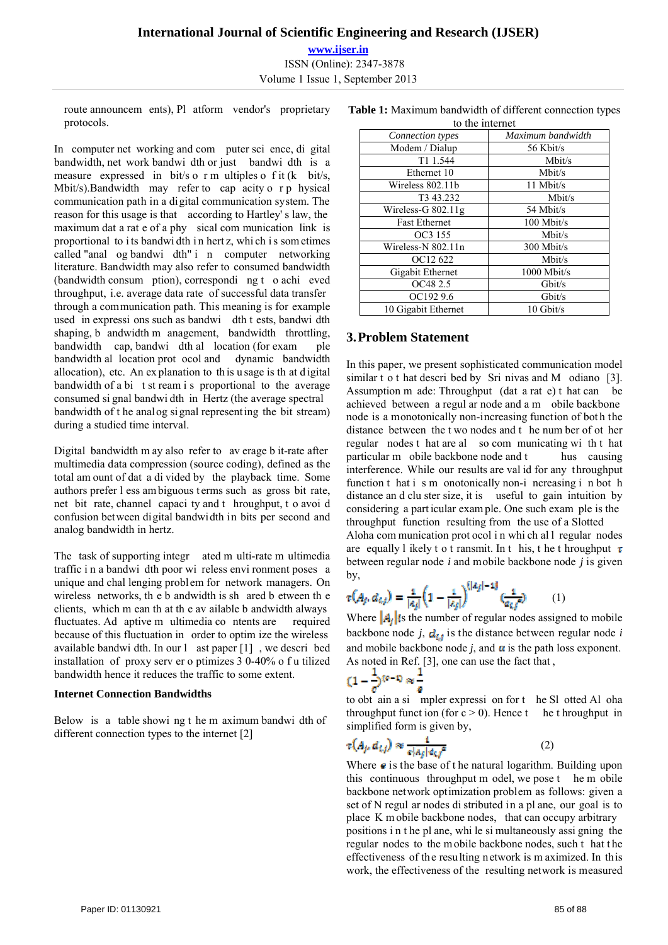# **International Journal of Scientific Engineering and Research (IJSER) www.ijser.in** ISSN (Online): 2347-3878

Volume 1 Issue 1, September 2013

route announcem ents), Pl atform vendor's proprietary protocols.

In computer net working and com puter sci ence, di gital bandwidth, net work bandwi dth or just bandwi dth is a measure expressed in bit/s o r m ultiples o f it (k bit/s, Mbit/s).Bandwidth may refer to cap acity o r p hysical communication path in a digital communication system. The reason for this usage is that according to Hartley' s law, the maximum dat a rat e of a phy sical com munication link is proportional to i ts bandwi dth i n hert z, whi ch i s som etimes called "anal og bandwi dth" i n computer networking literature. Bandwidth may also refer to consumed bandwidth (bandwidth consum ption), correspondi ng t o achi eved throughput, i.e. average data rate of successful data transfer through a communication path. This meaning is for example used in expressi ons such as bandwi dth t ests, bandwi dth shaping, b andwidth m anagement, bandwidth throttling, bandwidth cap, bandwi dth al location (for exam ple bandwidth al location prot ocol and dynamic bandwidth allocation), etc. An ex planation to th is u sage is th at d igital bandwidth of a bi t st ream i s proportional to the average consumed si gnal bandwi dth in Hertz (the average spectral bandwidth of t he analog signal representing the bit stream) during a studied time interval.

Digital bandwidth m ay also refer to av erage b it-rate after multimedia data compression (source coding), defined as the total am ount of dat a di vided by the playback time. Some authors prefer l ess am biguous t erms such as gross bit rate, net bit rate, channel capaci ty and t hroughput, t o avoi d confusion between digital bandwidth in bits per second and analog bandwidth in hertz.

The task of supporting integr ated m ulti-rate m ultimedia traffic i n a bandwi dth poor wi reless envi ronment poses a unique and chal lenging problem for network managers. On wireless networks, th e b andwidth is sh ared b etween th e clients, which m ean th at th e av ailable b andwidth always fluctuates. Ad aptive m ultimedia co ntents are required because of this fluctuation in order to optim ize the wireless available bandwi dth. In our l ast paper [1] , we descri bed installation of proxy serv er o ptimizes 3 0-40% o f u tilized bandwidth hence it reduces the traffic to some extent.

### **Internet Connection Bandwidths**

Below is a table showi ng t he m aximum bandwi dth of different connection types to the internet [2]

| to the internet       |                   |
|-----------------------|-------------------|
| Connection types      | Maximum bandwidth |
| Modem / Dialup        | 56 Kbit/s         |
| T1 1.544              | Mbit/s            |
| Ethernet 10           | Mbit/s            |
| Wireless 802.11b      | 11 Mbit/s         |
| T <sub>3</sub> 43.232 | Mbit/s            |
| Wireless-G $802.11g$  | 54 Mbit/s         |
| <b>Fast Ethernet</b>  | 100 Mbit/s        |
| OC3 155               | Mbit/s            |
| Wireless-N 802.11n    | 300 Mbit/s        |
| OC12 622              | Mbit/s            |
| Gigabit Ethernet      | 1000 Mbit/s       |
| OC48 2.5              | Gbit/s            |
| OC192 9.6             | Gbit/s            |
| 10 Gigabit Ethernet   | $10$ Gbit/s       |

# **Table 1:** Maximum bandwidth of different connection types

## **3.Problem Statement**

In this paper, we present sophisticated communication model similar t o t hat descri bed by Sri nivas and M odiano [3]. Assumption m ade: Throughput (dat a rat e) t hat can be achieved between a regul ar node and a m obile backbone node is a monotonically non-increasing function of bot h the distance between the t wo nodes and t he num ber of ot her regular nodes t hat are al so com municating wi th t hat particular m obile backbone node and t hus causing interference. While our results are val id for any throughput function t hat i s m onotonically non-i ncreasing i n bot h distance an d clu ster size, it is useful to gain intuition by considering a part icular exam ple. One such exam ple is the throughput function resulting from the use of a Slotted Aloha com munication prot ocol i n whi ch al l regular nodes are equally l ikely t o t ransmit. In t his, t he t hroughput  $\tau$ between regular node *i* and mobile backbone node *j* is given by,

$$
\tau(A_f, d_{i,f}) = \frac{1}{|a_j|} \left( 1 - \frac{1}{|a_j|} \right)^{\left( |a_j| - 1 \right)} \left( \frac{1}{a_{i,f}} \right) \tag{1}
$$

Where  $\mathbf{A}_i$  is the number of regular nodes assigned to mobile backbone node  $j$ ,  $d_{ij}$  is the distance between regular node *i* and mobile backbone node  $j$ , and  $\alpha$  is the path loss exponent. As noted in Ref. [3], one can use the fact that ,

$$
(1-\frac{1}{e})^{(p-1)} \approx \frac{1}{e}
$$

to obt ain a si mpler expressi on for t he Sl otted Al oha throughput funct ion (for  $c > 0$ ). Hence t he throughput in simplified form is given by,

$$
\tau(A_j, a_{i,j}) \approx \frac{1}{s|a_j| \epsilon_{i,j}^c} \tag{2}
$$

Where  $\boldsymbol{\theta}$  is the base of the natural logarithm. Building upon this continuous throughput m odel, we pose t he m obile backbone network optimization problem as follows: given a set of N regul ar nodes di stributed in a pl ane, our goal is to place K m obile backbone nodes, that can occupy arbitrary positions i n t he pl ane, whi le si multaneously assi gning the regular nodes to the m obile backbone nodes, such that the effectiveness of the resulting network is m aximized. In this work, the effectiveness of the resulting network is measured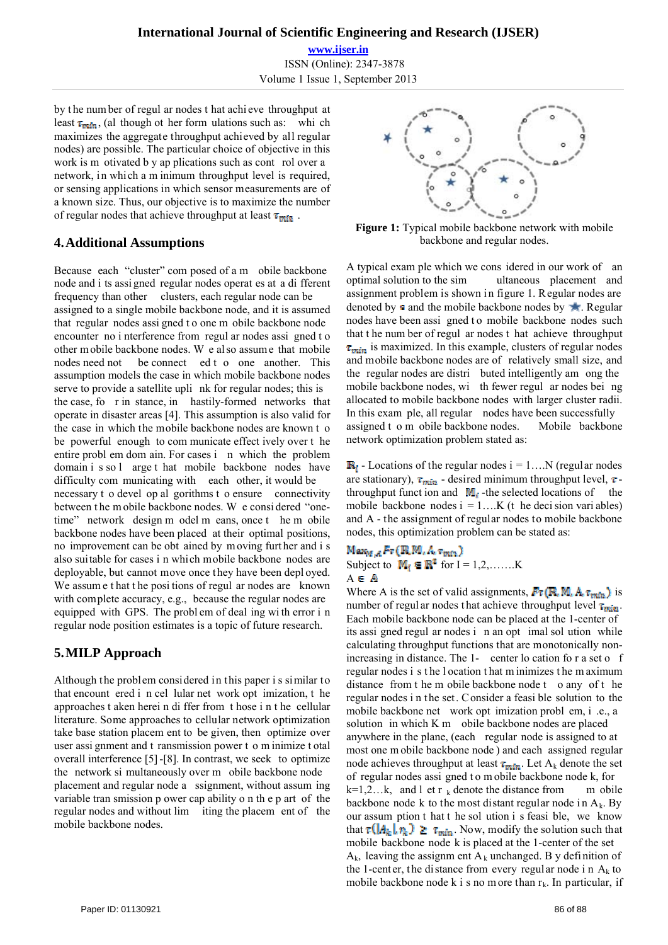### **International Journal of Scientific Engineering and Research (IJSER)**

**www.ijser.in** ISSN (Online): 2347-3878 Volume 1 Issue 1, September 2013

by t he num ber of regul ar nodes t hat achi eve throughput at least  $\tau_{\text{min}}$ , (al though ot her form ulations such as: whi ch maximizes the aggregate throughput achieved by all regular nodes) are possible. The particular choice of objective in this work is m otivated b y ap plications such as cont rol over a network, in which a m inimum throughput level is required, or sensing applications in which sensor measurements are of a known size. Thus, our objective is to maximize the number of regular nodes that achieve throughput at least  $\tau_{\text{min}}$ .

### **4.Additional Assumptions**

Because each "cluster" com posed of a m obile backbone node and i ts assi gned regular nodes operat es at a di fferent frequency than other clusters, each regular node can be assigned to a single mobile backbone node, and it is assumed that regular nodes assi gned t o one m obile backbone node encounter no i nterference from regul ar nodes assi gned t o other m obile backbone nodes. W e al so assum e that mobile nodes need not be connect ed t o one another. This assumption models the case in which mobile backbone nodes serve to provide a satellite upli nk for regular nodes; this is the case, fo r in stance, in hastily-formed networks that operate in disaster areas [4]. This assumption is also valid for the case in which the mobile backbone nodes are known t o be powerful enough to com municate effect ively over t he entire probl em dom ain. For cases i n which the problem domain i s so l arge t hat mobile backbone nodes have difficulty com municating with each other, it would be necessary t o devel op al gorithms t o ensure connectivity between t he m obile backbone nodes. W e consi dered "onetime" network design m odel m eans, once t he m obile backbone nodes have been placed at their optimal positions, no improvement can be obt ained by m oving furt her and i s also suitable for cases i n which mobile backbone nodes are deployable, but cannot move once they have been depl oyed. We assume that the positions of regul ar nodes are known with complete accuracy, e.g., because the regular nodes are equipped with GPS. The probl em of deal ing wi th error i n regular node position estimates is a topic of future research.

# **5.MILP Approach**

Although the problem considered in this paper i s similar to that encount ered i n cel lular net work opt imization, t he approaches t aken herei n di ffer from t hose i n t he cellular literature. Some approaches to cellular network optimization take base station placem ent to be given, then optimize over user assi gnment and t ransmission power t o m inimize t otal overall interference [5] -[8]. In contrast, we seek to optimize the network si multaneously over m obile backbone node placement and regular node a ssignment, without assum ing variable tran smission p ower cap ability o n th e p art of the regular nodes and without lim iting the placem ent of the mobile backbone nodes.



**Figure 1:** Typical mobile backbone network with mobile backbone and regular nodes.

A typical exam ple which we cons idered in our work of an optimal solution to the sim ultaneous placement and assignment problem is shown in figure 1. Regular nodes are denoted by  $\blacksquare$  and the mobile backbone nodes by  $\blacksquare$ . Regular nodes have been assi gned to mobile backbone nodes such that t he num ber of regul ar nodes t hat achieve throughput  $\tau_{min}$  is maximized. In this example, clusters of regular nodes and mobile backbone nodes are of relatively small size, and the regular nodes are distri buted intelligently am ong the mobile backbone nodes, wi th fewer regul ar nodes bei ng allocated to mobile backbone nodes with larger cluster radii. In this exam ple, all regular nodes have been successfully assigned t o m obile backbone nodes. Mobile backbone network optimization problem stated as:

 $\mathbb{R}_i$  - Locations of the regular nodes  $i = 1...N$  (regular nodes are stationary),  $\tau_{\min}$  - desired minimum throughput level,  $\tau$ throughput funct ion and  $\mathbf{M}_i$ -the selected locations of the mobile backbone nodes  $i = 1...K$  (t he decision variables) and A - the assignment of regular nodes to mobile backbone nodes, this optimization problem can be stated as:

ŀ Subject to  $M_i \in \mathbb{R}^2$  for I = 1,2,.......K  $A \in \mathbb{A}$ 

Where A is the set of valid assignments,  $\mathbf{F}_{\tau}(\mathbb{R}, \mathbb{M}, \mathbb{A}, \tau_{\text{min}})$  is number of regul ar nodes that achieve throughput level  $\tau_{min}$ . Each mobile backbone node can be placed at the 1-center of its assi gned regul ar nodes i n an opt imal sol ution while calculating throughput functions that are monotonically nonincreasing in distance. The 1- center lo cation for a set o f regular nodes i s t he l ocation t hat m inimizes t he m aximum distance from the m obile backbone node t o any of the regular nodes i n the set. Consider a feasi ble solution to the mobile backbone net work opt imization probl em, i .e., a solution in which K m obile backbone nodes are placed anywhere in the plane, (each regular node is assigned to at most one m obile backbone node ) and each assigned regular node achieves throughput at least  $\tau_{min}$ . Let A<sub>k</sub> denote the set of regular nodes assi gned t o m obile backbone node k, for  $k=1,2...k$ , and l et r k denote the distance from m obile backbone node k to the most distant regular node in  $A_k$ . By our assum ption t hat t he sol ution i s feasi ble, we know that  $\tau(A_k | n_k) \geq \tau_{\min}$ . Now, modify the solution such that mobile backbone node k is placed at the 1-center of the set  $A_k$ , leaving the assignm ent  $A_k$  unchanged. B y definition of the 1-center, the distance from every regular node in  $A_k$  to mobile backbone node k i s no m ore than  $r_k$ . In particular, if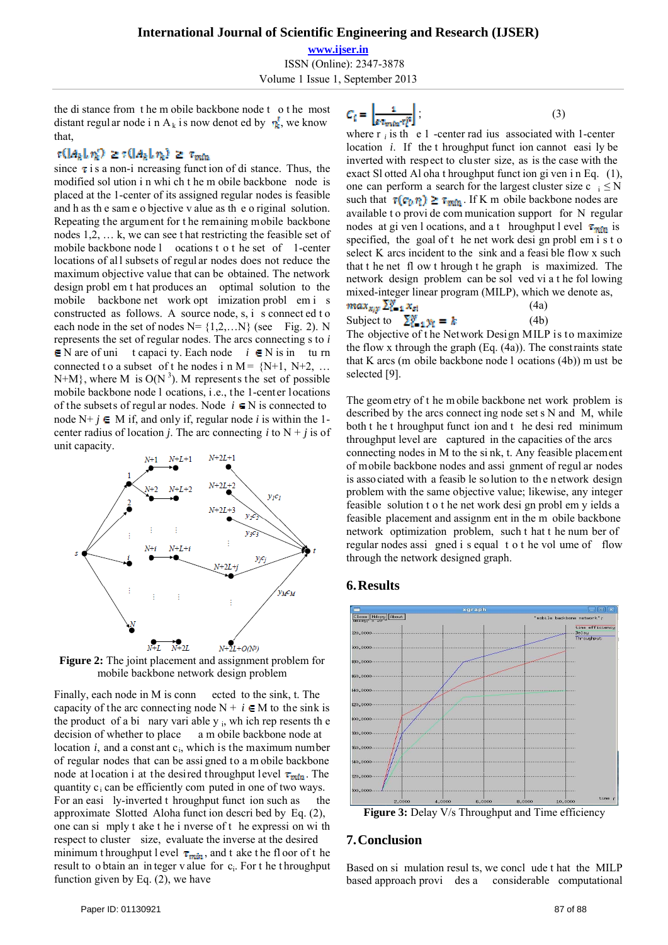### **International Journal of Scientific Engineering and Research (IJSER)**

**www.ijser.in**

ISSN (Online): 2347-3878

Volume 1 Issue 1, September 2013

the di stance from t he m obile backbone node t o t he most distant regul ar node i n A<sub>k</sub> is now denot ed by  $\eta_k^{\prime}$ , we know that,

### $\tau(|A_k|, \eta_k) \geq \tau(|A_k|, \eta_k) \geq \tau_{min}$

since  $\tau$  is a non-i ncreasing funct ion of di stance. Thus, the modified sol ution i n whi ch t he m obile backbone node is placed at the 1-center of its assigned regular nodes is feasible and h as th e sam e o bjective v alue as th e o riginal solution. Repeating the argument for t he remaining mobile backbone nodes 1,2, … k, we can see t hat restricting the feasible set of mobile backbone node l ocations t o t he set of 1-center locations of all subsets of regular nodes does not reduce the maximum objective value that can be obtained. The network design probl em t hat produces an optimal solution to the mobile backbone net work opt imization probl em i s constructed as follows. A source node, s, i s connect ed t o each node in the set of nodes  $N = \{1, 2, \ldots N\}$  (see Fig. 2). N represents the set of regular nodes. The arcs connecting s to *i*  $\in$  N are of uni t capaci ty. Each node  $i \in$  N is in tu rn connected to a subset of t he nodes i n  $M = \{N+1, N+2, \ldots\}$ N+M}, where M is  $O(N^3)$ . M represents the set of possible mobile backbone node l ocations, i.e., the 1-center locations of the subsets of regul ar nodes. Node  $i \in N$  is connected to node  $N+j \in M$  if, and only if, regular node *i* is within the 1center radius of location *j*. The arc connecting *i* to  $N + j$  is of unit capacity.



**Figure 2:** The joint placement and assignment problem for mobile backbone network design problem

Finally, each node in M is conn ected to the sink, t. The capacity of the arc connecting node  $N + i \in M$  to the sink is the product of a bi nary vari able  $v_i$ , wh ich rep resents the decision of whether to place a m obile backbone node at location  $i$ , and a constant  $c_i$ , which is the maximum number of regular nodes that can be assi gned to a m obile backbone node at location i at the desired throughput level  $\tau_{min}$ . The quantity  $c_i$  can be efficiently com puted in one of two ways. For an easi ly-inverted t hroughput funct ion such as the approximate Slotted Aloha funct ion descri bed by Eq. (2), one can si mply t ake t he i nverse of t he expressi on wi th respect to cluster size, evaluate the inverse at the desired minimum t hroughput l evel  $\tau_{\text{min}}$ , and t ake the fl oor of the result to o btain an in teger v alue for c<sub>i</sub>. For t he t hroughput function given by Eq. (2), we have

 $\hspace{1.6cm} ; \hspace{1.6cm} (3)$ 

where  $r_i$  is the  $e_1$ -center rad ius associated with 1-center location *i*. If the t hroughput funct ion cannot easi ly be inverted with respect to cluster size, as is the case with the exact Sl otted Al oha t hroughput funct ion gi ven i n Eq. (1), one can perform a search for the largest cluster size c  $_i \le N$ such that  $\tau(\tau_0, \eta) \geq \tau_{min}$ . If K m obile backbone nodes are available t o provi de com munication support for N regular nodes at gi ven l ocations, and a t hroughput l evel  $\tau_{min}$  is specified, the goal of t he net work desi gn probl em i s t o select K arcs incident to the sink and a feasi ble flow x such that t he net fl ow t hrough t he graph is maximized. The network design problem can be sol ved vi a t he fol lowing mixed-integer linear program (MILP), which we denote as,  $max_{x,y} \sum_{i=1}^{n} x_{si}$  (4a) Subject to  $\sum_{i=1}^{n} x_i = k$  (4b) The objective of t he Network Design MILP is to maximize

the flow x through the graph (Eq. (4a)). The constraints state that K arcs (m obile backbone node l ocations (4b)) m ust be selected [9].

The geom etry of t he m obile backbone net work problem is described by the arcs connect ing node set s N and M, while both t he t hroughput funct ion and t he desi red minimum throughput level are captured in the capacities of the arcs connecting nodes in M to the si nk, t. Any feasible placement of mobile backbone nodes and assi gnment of regul ar nodes is associated with a feasib le solution to the network design problem with the same objective value; likewise, any integer feasible solution t o t he net work desi gn probl em y ields a feasible placement and assignm ent in the m obile backbone network optimization problem, such t hat t he num ber of regular nodes assi gned i s equal t o t he vol ume of flow through the network designed graph.

### **6.Results**



Figure 3: Delay V/s Throughput and Time efficiency

### **7.Conclusion**

Based on si mulation resul ts, we concl ude t hat the MILP based approach provi des a considerable computational